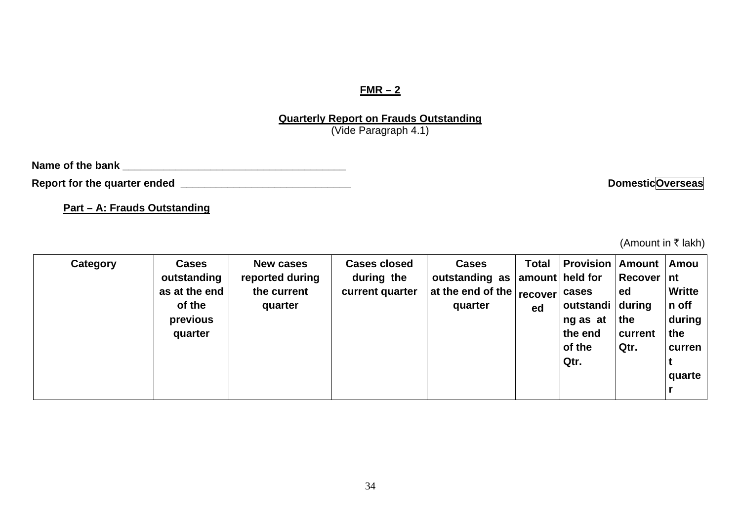## **FMR – 2**

**Quarterly Report on Frauds Outstanding** (Vide Paragraph 4.1)

Report for the quarter ended **with a set of the contract of the contract of the contract of the contract of the contract of the contract of the contract of the contract of the contract of the contract of the contract of th** 

**Part – A: Frauds Outstanding**

(Amount in  $\bar{\tau}$  lakh)

| Category | <b>Cases</b><br>outstanding<br>as at the end<br>of the<br>previous<br>quarter | <b>New cases</b><br>reported during<br>the current<br>quarter | <b>Cases closed</b><br>during the<br>current quarter | <b>Cases</b><br>outstanding as<br>at the end of the   recover'<br>quarter | <b>Total</b><br>ed | <b>Provision Amount Amou</b><br>amount held for<br>cases<br>outstandi during<br>ng as at<br>the end<br>of the<br>Qtr. | Recover   nt<br>ed<br>the<br>current<br>Qtr. | <b>Writte</b><br>n off<br>during<br>the<br>curren<br>quarte |
|----------|-------------------------------------------------------------------------------|---------------------------------------------------------------|------------------------------------------------------|---------------------------------------------------------------------------|--------------------|-----------------------------------------------------------------------------------------------------------------------|----------------------------------------------|-------------------------------------------------------------|
|----------|-------------------------------------------------------------------------------|---------------------------------------------------------------|------------------------------------------------------|---------------------------------------------------------------------------|--------------------|-----------------------------------------------------------------------------------------------------------------------|----------------------------------------------|-------------------------------------------------------------|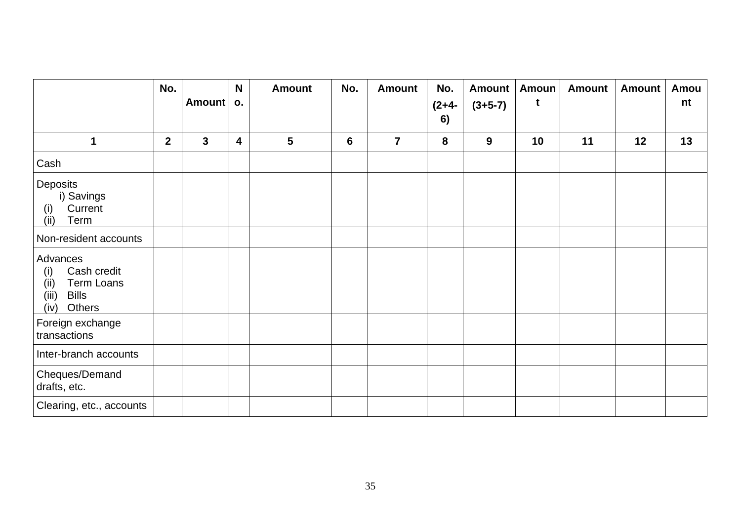|                                                                                                               | No.          |              | N                       | <b>Amount</b>  | No. | <b>Amount</b>  | No.           | <b>Amount</b> | <b>Amoun</b> | <b>Amount</b> | <b>Amount</b> | Amou |
|---------------------------------------------------------------------------------------------------------------|--------------|--------------|-------------------------|----------------|-----|----------------|---------------|---------------|--------------|---------------|---------------|------|
|                                                                                                               |              | Amount       | О.                      |                |     |                | $(2+4-$<br>6) | $(3+5-7)$     | t            |               |               | nt   |
| 1                                                                                                             | $\mathbf{2}$ | $\mathbf{3}$ | $\overline{\mathbf{4}}$ | $5\phantom{1}$ | 6   | $\overline{7}$ | 8             | $9$           | 10           | 11            | 12            | 13   |
| Cash                                                                                                          |              |              |                         |                |     |                |               |               |              |               |               |      |
| Deposits<br>i) Savings<br>Current<br>(i)<br>(ii)<br>Term                                                      |              |              |                         |                |     |                |               |               |              |               |               |      |
| Non-resident accounts                                                                                         |              |              |                         |                |     |                |               |               |              |               |               |      |
| Advances<br>Cash credit<br>(i)<br>(ii)<br><b>Term Loans</b><br>(iii)<br><b>Bills</b><br>(iv)<br><b>Others</b> |              |              |                         |                |     |                |               |               |              |               |               |      |
| Foreign exchange<br>transactions                                                                              |              |              |                         |                |     |                |               |               |              |               |               |      |
| Inter-branch accounts                                                                                         |              |              |                         |                |     |                |               |               |              |               |               |      |
| Cheques/Demand<br>drafts, etc.                                                                                |              |              |                         |                |     |                |               |               |              |               |               |      |
| Clearing, etc., accounts                                                                                      |              |              |                         |                |     |                |               |               |              |               |               |      |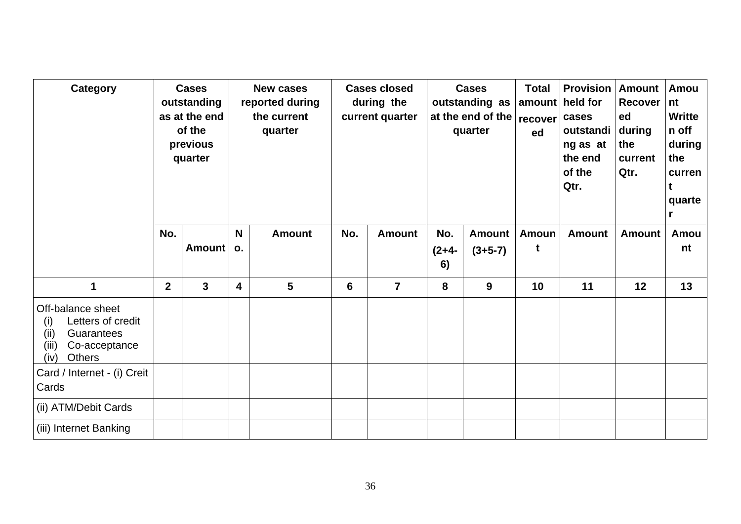| Category                                                                                                                       |              | <b>Cases</b><br>outstanding<br>as at the end<br>of the<br>previous<br>quarter |         | <b>New cases</b><br>reported during<br>the current<br>quarter |     | <b>Cases closed</b><br>during the<br>current quarter |                      | <b>Cases</b><br>outstanding as<br>at the end of the<br>quarter | <b>Total</b><br>recover<br>ed | <b>Provision</b><br>amount held for<br>cases<br>outstandi<br>ng as at<br>the end<br>of the<br>Qtr. | <b>Amount</b><br>Recover<br>ed<br>during<br>the<br>current<br>Qtr. | Amou<br>nt<br><b>Writte</b><br>n off<br>during<br>the<br>curren<br>t<br>quarte<br>r |
|--------------------------------------------------------------------------------------------------------------------------------|--------------|-------------------------------------------------------------------------------|---------|---------------------------------------------------------------|-----|------------------------------------------------------|----------------------|----------------------------------------------------------------|-------------------------------|----------------------------------------------------------------------------------------------------|--------------------------------------------------------------------|-------------------------------------------------------------------------------------|
|                                                                                                                                | No.          | Amount                                                                        | N<br>0. | <b>Amount</b>                                                 | No. | <b>Amount</b>                                        | No.<br>$(2+4-$<br>6) | <b>Amount</b><br>$(3+5-7)$                                     | <b>Amoun</b><br>t             | <b>Amount</b>                                                                                      | <b>Amount</b>                                                      | Amou<br>nt                                                                          |
| 1                                                                                                                              | $\mathbf{2}$ | 3                                                                             | 4       | 5                                                             | 6   | $\overline{7}$                                       | 8                    | 9                                                              | 10                            | 11                                                                                                 | 12                                                                 | 13                                                                                  |
| Off-balance sheet<br>Letters of credit<br>(i)<br><b>Guarantees</b><br>(iii)<br>(iii)<br>Co-acceptance<br><b>Others</b><br>(iv) |              |                                                                               |         |                                                               |     |                                                      |                      |                                                                |                               |                                                                                                    |                                                                    |                                                                                     |
| Card / Internet - (i) Creit<br>Cards                                                                                           |              |                                                                               |         |                                                               |     |                                                      |                      |                                                                |                               |                                                                                                    |                                                                    |                                                                                     |
| (ii) ATM/Debit Cards                                                                                                           |              |                                                                               |         |                                                               |     |                                                      |                      |                                                                |                               |                                                                                                    |                                                                    |                                                                                     |
| (iii) Internet Banking                                                                                                         |              |                                                                               |         |                                                               |     |                                                      |                      |                                                                |                               |                                                                                                    |                                                                    |                                                                                     |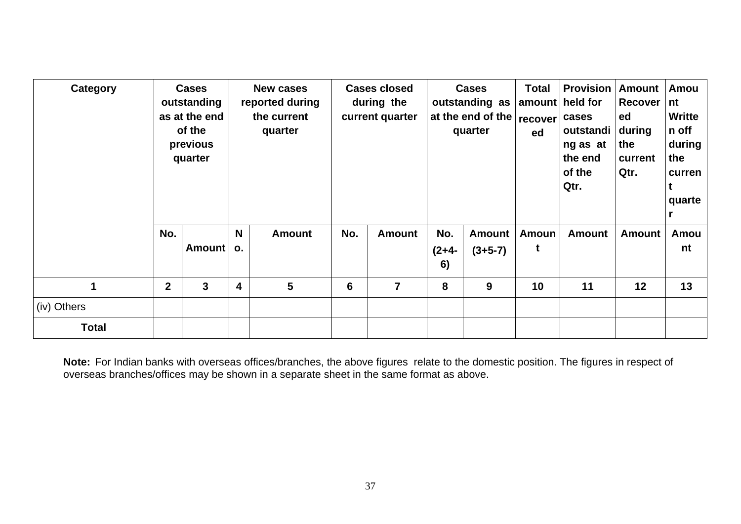| Category     | <b>Cases</b><br>outstanding<br>as at the end<br>of the<br>previous<br>quarter |        |                         | <b>New cases</b><br>reported during<br>the current<br>quarter |     | <b>Cases closed</b><br>during the<br>current quarter |                      | <b>Cases</b><br>outstanding as<br>at the end of the $ recover$<br>quarter | <b>Total</b><br>ed | <b>Provision</b><br>amount held for<br>cases<br>outstandi<br>ng as at<br>the end<br>of the<br>Qtr. | <b>Amount</b><br>Recover  <br>ed<br>during<br>the<br>current<br>Qtr. | Amou<br>nt<br><b>Writte</b><br>n off<br>during<br>the<br>curren<br>quarte |  |  |
|--------------|-------------------------------------------------------------------------------|--------|-------------------------|---------------------------------------------------------------|-----|------------------------------------------------------|----------------------|---------------------------------------------------------------------------|--------------------|----------------------------------------------------------------------------------------------------|----------------------------------------------------------------------|---------------------------------------------------------------------------|--|--|
|              | No.                                                                           | Amount | N<br>$\mathbf{o}$ .     | <b>Amount</b>                                                 | No. | <b>Amount</b>                                        | No.<br>$(2+4-$<br>6) | <b>Amount</b><br>$(3+5-7)$                                                | <b>Amoun</b><br>t  | <b>Amount</b>                                                                                      | <b>Amount</b>                                                        | Amou<br>nt                                                                |  |  |
| $\mathbf{1}$ | $\overline{2}$                                                                | 3      | $\overline{\mathbf{4}}$ | $5\phantom{.0}$                                               |     | $\overline{7}$                                       | 8                    | 9                                                                         | 10                 | 11                                                                                                 | 12                                                                   | 13                                                                        |  |  |
| (iv) Others  |                                                                               |        |                         |                                                               |     |                                                      |                      |                                                                           |                    |                                                                                                    |                                                                      |                                                                           |  |  |
| <b>Total</b> |                                                                               |        |                         |                                                               |     |                                                      |                      |                                                                           |                    |                                                                                                    |                                                                      |                                                                           |  |  |

**Note:** For Indian banks with overseas offices/branches, the above figures relate to the domestic position. The figures in respect of overseas branches/offices may be shown in a separate sheet in the same format as above.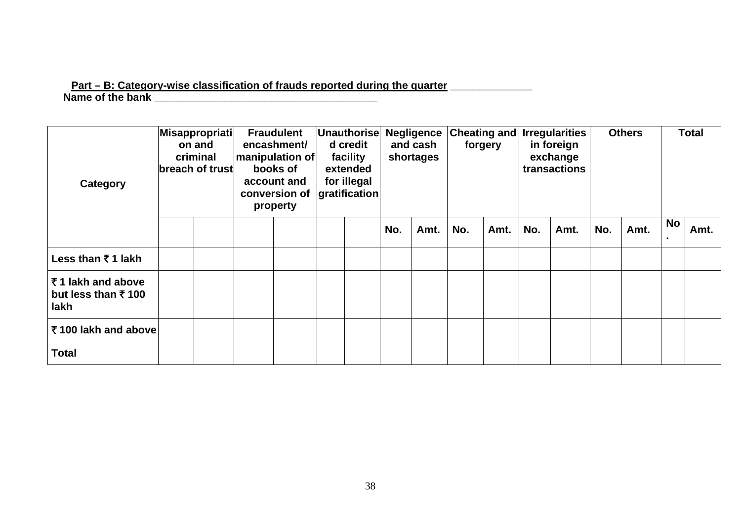## **Part – B: Category-wise classification of frauds reported during the quarter \_\_\_\_\_\_\_\_\_\_\_\_\_\_ Name of the bank \_\_\_\_\_\_\_\_\_\_\_\_\_\_\_\_\_\_\_\_\_\_\_\_\_\_\_\_\_\_\_\_\_\_\_\_\_\_**

| Category                                                 | Misappropriati<br>on and<br>criminal<br>breach of trust |  | <b>Fraudulent</b><br>encashment/<br>manipulation of<br>books of<br>account and<br>conversion of<br>property | Unauthorise<br>d credit<br>facility<br>extended<br>for illegal<br>gratification |     | <b>Negligence</b><br>and cash<br>shortages |     | forgery |     | <b>Cheating and Irregularities</b><br>in foreign<br>exchange<br>transactions |     | <b>Others</b> |    | <b>Total</b> |
|----------------------------------------------------------|---------------------------------------------------------|--|-------------------------------------------------------------------------------------------------------------|---------------------------------------------------------------------------------|-----|--------------------------------------------|-----|---------|-----|------------------------------------------------------------------------------|-----|---------------|----|--------------|
|                                                          |                                                         |  |                                                                                                             |                                                                                 | No. | Amt.                                       | No. | Amt.    | No. | Amt.                                                                         | No. | Amt.          | No | Amt.         |
| Less than ₹1 lakh                                        |                                                         |  |                                                                                                             |                                                                                 |     |                                            |     |         |     |                                                                              |     |               |    |              |
| ₹1 lakh and above<br>but less than $\bar{x}$ 100<br>lakh |                                                         |  |                                                                                                             |                                                                                 |     |                                            |     |         |     |                                                                              |     |               |    |              |
| ₹100 lakh and above                                      |                                                         |  |                                                                                                             |                                                                                 |     |                                            |     |         |     |                                                                              |     |               |    |              |
| <b>Total</b>                                             |                                                         |  |                                                                                                             |                                                                                 |     |                                            |     |         |     |                                                                              |     |               |    |              |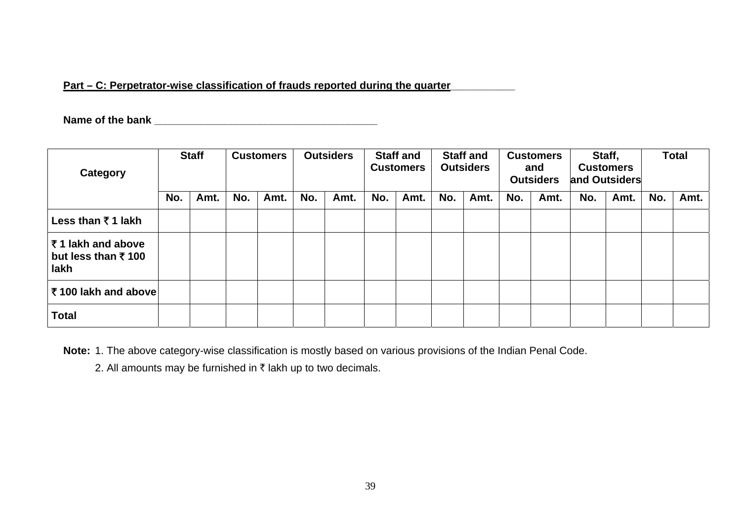## Part – C: Perpetrator-wise classification of frauds reported during the quarter

**Name of the bank \_\_\_\_\_\_\_\_\_\_\_\_\_\_\_\_\_\_\_\_\_\_\_\_\_\_\_\_\_\_\_\_\_\_\_\_\_\_** 

| Category                                                    | <b>Staff</b> |      | <b>Customers</b> |      | <b>Outsiders</b> |      | <b>Staff and</b><br><b>Customers</b> |      | <b>Staff and</b><br><b>Outsiders</b> |      | <b>Customers</b><br>and<br><b>Outsiders</b> |      | Staff,<br><b>Customers</b><br>and Outsiders |      | <b>Total</b> |      |
|-------------------------------------------------------------|--------------|------|------------------|------|------------------|------|--------------------------------------|------|--------------------------------------|------|---------------------------------------------|------|---------------------------------------------|------|--------------|------|
|                                                             | No.          | Amt. | No.              | Amt. | No.              | Amt. | No.                                  | Amt. | No.                                  | Amt. | No.                                         | Amt. | No.                                         | Amt. | No.          | Amt. |
| Less than ₹ 1 lakh                                          |              |      |                  |      |                  |      |                                      |      |                                      |      |                                             |      |                                             |      |              |      |
| ₹1 lakh and above<br>but less than $\bar{\tau}$ 100<br>lakh |              |      |                  |      |                  |      |                                      |      |                                      |      |                                             |      |                                             |      |              |      |
| ₹100 lakh and above                                         |              |      |                  |      |                  |      |                                      |      |                                      |      |                                             |      |                                             |      |              |      |
| <b>Total</b>                                                |              |      |                  |      |                  |      |                                      |      |                                      |      |                                             |      |                                             |      |              |      |

**Note:** 1. The above category-wise classification is mostly based on various provisions of the Indian Penal Code.

2. All amounts may be furnished in  $\bar{\tau}$  lakh up to two decimals.